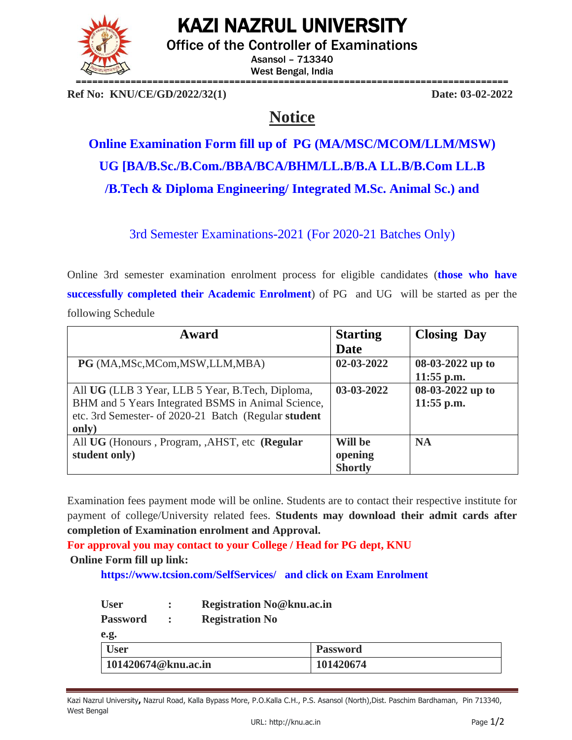

# KAZI NAZRUL UNIVERSITY

Office of the Controller of Examinations

Asansol – 713340 West Bengal, India

**Ref No: KNU/CE/GD/2022/32(1) Date: 03-02-2022**

# **Notice**

# **Online Examination Form fill up of PG (MA/MSC/MCOM/LLM/MSW) UG [BA/B.Sc./B.Com./BBA/BCA/BHM/LL.B/B.A LL.B/B.Com LL.B /B.Tech & Diploma Engineering/ Integrated M.Sc. Animal Sc.) and**

3rd Semester Examinations-2021 (For 2020-21 Batches Only)

Online 3rd semester examination enrolment process for eligible candidates (**those who have successfully completed their Academic Enrolment**) of PG and UG will be started as per the following Schedule

| Award                                                | <b>Starting</b> | <b>Closing Day</b> |
|------------------------------------------------------|-----------------|--------------------|
|                                                      | <b>Date</b>     |                    |
| PG (MA, MSc, MCom, MSW, LLM, MBA)                    | 02-03-2022      | 08-03-2022 up to   |
|                                                      |                 | $11:55$ p.m.       |
| All UG (LLB 3 Year, LLB 5 Year, B.Tech, Diploma,     | 03-03-2022      | 08-03-2022 up to   |
| BHM and 5 Years Integrated BSMS in Animal Science,   |                 | $11:55$ p.m.       |
| etc. 3rd Semester- of 2020-21 Batch (Regular student |                 |                    |
| only)                                                |                 |                    |
| All UG (Honours, Program, ,AHST, etc (Regular        | Will be         | <b>NA</b>          |
| student only)                                        | opening         |                    |
|                                                      | <b>Shortly</b>  |                    |

Examination fees payment mode will be online. Students are to contact their respective institute for payment of college/University related fees. **Students may download their admit cards after completion of Examination enrolment and Approval.**

**For approval you may contact to your College / Head for PG dept, KNU**

## **Online Form fill up link:**

**<https://www.tcsion.com/SelfServices/>and click on Exam Enrolment**

| <b>User</b> |  | <b>Registration No@knu.ac.in</b> |
|-------------|--|----------------------------------|
|             |  |                                  |

| <b>Password</b>     | <b>Registration No</b> |                 |
|---------------------|------------------------|-----------------|
| e.g.                |                        |                 |
| <b>User</b>         |                        | <b>Password</b> |
| 101420674@knu.ac.in |                        | 101420674       |

Kazi Nazrul University**,** Nazrul Road, Kalla Bypass More, P.O.Kalla C.H., P.S. Asansol (North),Dist. Paschim Bardhaman, Pin 713340, West Bengal